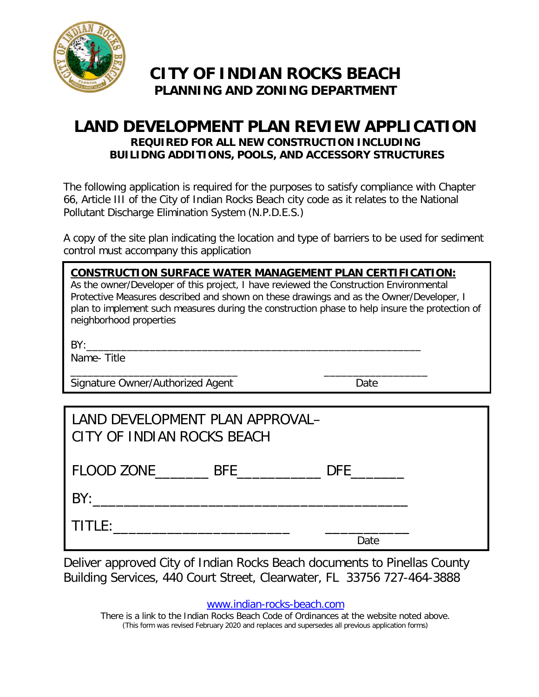

### **CITY OF INDIAN ROCKS BEACH PLANNING AND ZONING DEPARTMENT**

### **LAND DEVELOPMENT PLAN REVIEW APPLICATION REQUIRED FOR ALL NEW CONSTRUCTION INCLUDING BUILIDNG ADDITIONS, POOLS, AND ACCESSORY STRUCTURES**

The following application is required for the purposes to satisfy compliance with Chapter 66, Article III of the City of Indian Rocks Beach city code as it relates to the National Pollutant Discharge Elimination System (N.P.D.E.S.)

A copy of the site plan indicating the location and type of barriers to be used for sediment control must accompany this application

| <b>CONSTRUCTION SURFACE WATER MANAGEMENT PLAN CERTIFICATION:</b><br>As the owner/Developer of this project, I have reviewed the Construction Environmental<br>Protective Measures described and shown on these drawings and as the Owner/Developer, I<br>plan to implement such measures during the construction phase to help insure the protection of<br>neighborhood properties |  |  |  |  |  |
|------------------------------------------------------------------------------------------------------------------------------------------------------------------------------------------------------------------------------------------------------------------------------------------------------------------------------------------------------------------------------------|--|--|--|--|--|
|                                                                                                                                                                                                                                                                                                                                                                                    |  |  |  |  |  |
| Name-Title                                                                                                                                                                                                                                                                                                                                                                         |  |  |  |  |  |
| Signature Owner/Authorized Agent<br>Date                                                                                                                                                                                                                                                                                                                                           |  |  |  |  |  |
|                                                                                                                                                                                                                                                                                                                                                                                    |  |  |  |  |  |
| LAND DEVELOPMENT PLAN APPROVAL-<br>CITY OF INDIAN ROCKS BEACH                                                                                                                                                                                                                                                                                                                      |  |  |  |  |  |
| FLOOD ZONE BFE DFE DFE                                                                                                                                                                                                                                                                                                                                                             |  |  |  |  |  |
| BY:                                                                                                                                                                                                                                                                                                                                                                                |  |  |  |  |  |
|                                                                                                                                                                                                                                                                                                                                                                                    |  |  |  |  |  |

Deliver approved City of Indian Rocks Beach documents to Pinellas County Building Services, 440 Court Street, Clearwater, FL 33756 727-464-3888

[www.indian-rocks-beach.com](http://www.indian-rocks-beach.com/)

Date

There is a link to the Indian Rocks Beach Code of Ordinances at the website noted above. (This form was revised February 2020 and replaces and supersedes all previous application forms)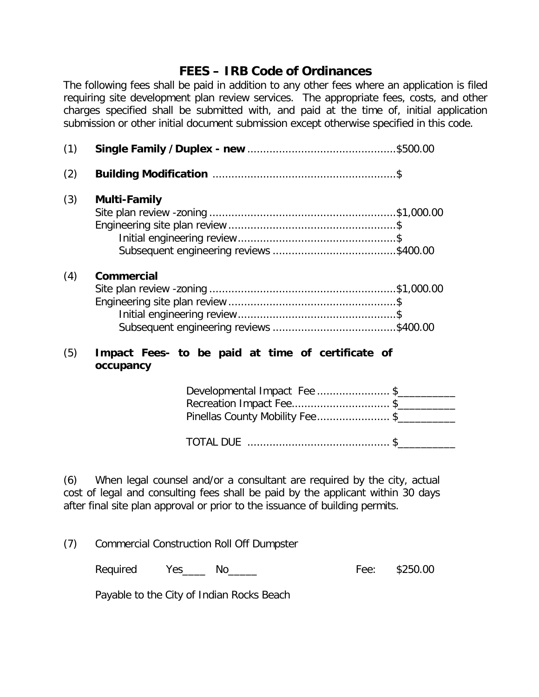### **FEES – IRB Code of Ordinances**

The following fees shall be paid in addition to any other fees where an application is filed requiring site development plan review services. The appropriate fees, costs, and other charges specified shall be submitted with, and paid at the time of, initial application submission or other initial document submission except otherwise specified in this code.

| (1) |                                                                |  |
|-----|----------------------------------------------------------------|--|
| (2) |                                                                |  |
| (3) | <b>Multi-Family</b>                                            |  |
| (4) | <b>Commercial</b>                                              |  |
| (5) | Impact Fees- to be paid at time of certificate of<br>occupancy |  |
|     | Developmental Impact Fee \$<br>Recreation Impact Fee \$        |  |
|     | Pinellas County Mobility Fee\$                                 |  |

TOTAL DUE ............................................. \$\_\_\_\_\_\_\_\_\_\_

(6) When legal counsel and/or a consultant are required by the city, actual cost of legal and consulting fees shall be paid by the applicant within 30 days after final site plan approval or prior to the issuance of building permits.

(7) Commercial Construction Roll Off Dumpster

Required Yes\_\_\_\_ No\_\_\_\_\_ Fee: \$250.00

Payable to the City of Indian Rocks Beach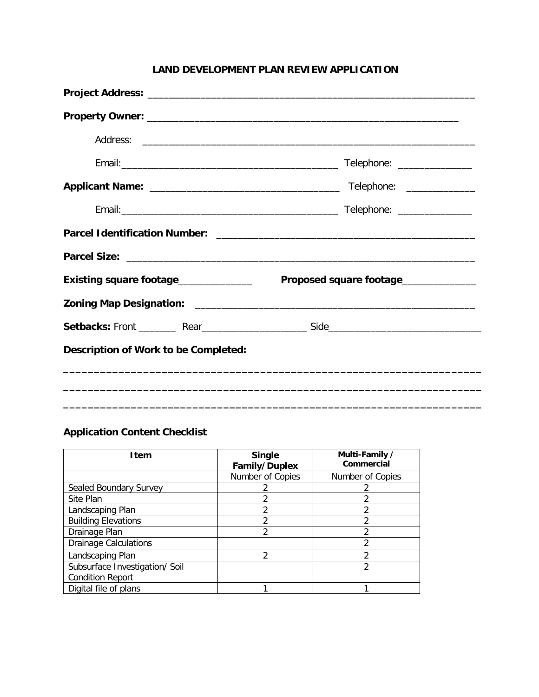### **Project Address:** \_\_\_\_\_\_\_\_\_\_\_\_\_\_\_\_\_\_\_\_\_\_\_\_\_\_\_\_\_\_\_\_\_\_\_\_\_\_\_\_\_\_\_\_\_\_\_\_\_\_\_\_\_\_\_\_\_\_\_\_\_\_ **Property Owner:** \_\_\_\_\_\_\_\_\_\_\_\_\_\_\_\_\_\_\_\_\_\_\_\_\_\_\_\_\_\_\_\_\_\_\_\_\_\_\_\_\_\_\_\_\_\_\_\_\_\_\_\_\_\_\_\_\_\_\_ Address: \_\_\_\_\_\_\_\_\_\_\_\_\_\_\_\_\_\_\_\_\_\_\_\_\_\_\_\_\_\_\_\_\_\_\_\_\_\_\_\_\_\_\_\_\_\_\_\_\_\_\_\_\_\_\_\_\_\_\_\_\_\_\_ Email:\_\_\_\_\_\_\_\_\_\_\_\_\_\_\_\_\_\_\_\_\_\_\_\_\_\_\_\_\_\_\_\_\_\_\_\_\_\_\_\_\_ Telephone: \_\_\_\_\_\_\_\_\_\_\_\_\_\_ **Applicant Name:** \_\_\_\_\_\_\_\_\_\_\_\_\_\_\_\_\_\_\_\_\_\_\_\_\_\_\_\_\_\_\_\_\_\_\_\_ Telephone: \_\_\_\_\_\_\_\_\_\_\_\_\_ Email:\_\_\_\_\_\_\_\_\_\_\_\_\_\_\_\_\_\_\_\_\_\_\_\_\_\_\_\_\_\_\_\_\_\_\_\_\_\_\_\_\_ Telephone: \_\_\_\_\_\_\_\_\_\_\_\_\_\_ **Parcel Identification Number:** \_\_\_\_\_\_\_\_\_\_\_\_\_\_\_\_\_\_\_\_\_\_\_\_\_\_\_\_\_\_\_\_\_\_\_\_\_\_\_\_\_\_\_\_\_\_\_\_\_ **Parcel Size:** \_\_\_\_\_\_\_\_\_\_\_\_\_\_\_\_\_\_\_\_\_\_\_\_\_\_\_\_\_\_\_\_\_\_\_\_\_\_\_\_\_\_\_\_\_\_\_\_\_\_\_\_\_\_\_\_\_\_\_\_\_\_\_\_\_\_ **Existing square footage**\_\_\_\_\_\_\_\_\_\_\_\_\_\_ **Proposed square footage**\_\_\_\_\_\_\_\_\_\_\_\_\_\_ **Zoning Map Designation:** \_\_\_\_\_\_\_\_\_\_\_\_\_\_\_\_\_\_\_\_\_\_\_\_\_\_\_\_\_\_\_\_\_\_\_\_\_\_\_\_\_\_\_\_\_\_\_\_\_\_\_\_\_ Setbacks: Front **Rear** Rear **Rear** Side **Description of Work to be Completed: \_\_\_\_\_\_\_\_\_\_\_\_\_\_\_\_\_\_\_\_\_\_\_\_\_\_\_\_\_\_\_\_\_\_\_\_\_\_\_\_\_\_\_\_\_\_\_\_\_\_\_\_\_\_\_\_\_\_\_\_\_\_\_\_\_\_\_\_ \_\_\_\_\_\_\_\_\_\_\_\_\_\_\_\_\_\_\_\_\_\_\_\_\_\_\_\_\_\_\_\_\_\_\_\_\_\_\_\_\_\_\_\_\_\_\_\_\_\_\_\_\_\_\_\_\_\_\_\_\_\_\_\_\_\_\_\_ \_\_\_\_\_\_\_\_\_\_\_\_\_\_\_\_\_\_\_\_\_\_\_\_\_\_\_\_\_\_\_\_\_\_\_\_\_\_\_\_\_\_\_\_\_\_\_\_\_\_\_\_\_\_\_\_\_\_\_\_\_\_\_\_\_\_\_\_**

### **Application Content Checklist**

| Item                           | <b>Single</b><br><b>Family/Duplex</b> | Multi-Family /<br>Commercial |
|--------------------------------|---------------------------------------|------------------------------|
|                                | Number of Copies                      | Number of Copies             |
| Sealed Boundary Survey         |                                       |                              |
| Site Plan                      | 2                                     | 2                            |
| Landscaping Plan               | 2                                     |                              |
| <b>Building Elevations</b>     | ∍                                     | ኅ                            |
| Drainage Plan                  | 2                                     | ኅ                            |
| <b>Drainage Calculations</b>   |                                       | 2                            |
| Landscaping Plan               | 2                                     | ∍                            |
| Subsurface Investigation/ Soil |                                       | っ                            |
| <b>Condition Report</b>        |                                       |                              |
| Digital file of plans          |                                       |                              |

### **LAND DEVELOPMENT PLAN REVIEW APPLICATION**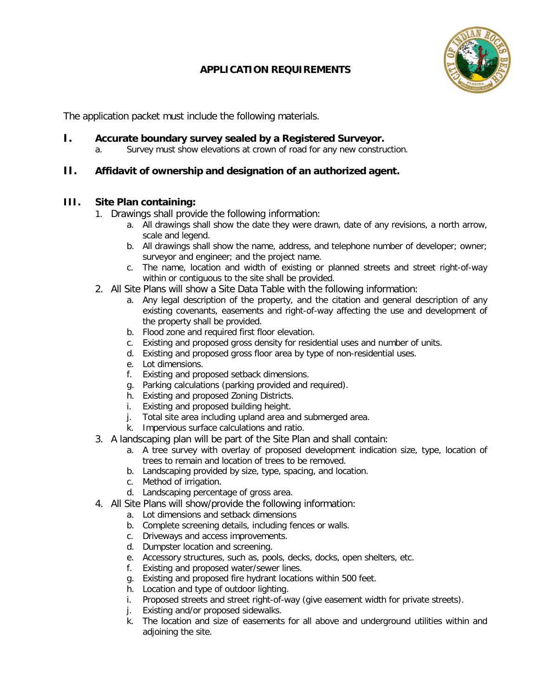### **APPLICATION REQUIREMENTS**



The application packet must include the following materials.

- **I. Accurate boundary survey sealed by a Registered Surveyor.**<br>A Survey must show elevations at crown of road for any new constru
	- Survey must show elevations at crown of road for any new construction.

### **II. Affidavit of ownership and designation of an authorized agent.**

### **III. Site Plan containing:**

- 1. Drawings shall provide the following information:
	- a. All drawings shall show the date they were drawn, date of any revisions, a north arrow, scale and legend.
	- b. All drawings shall show the name, address, and telephone number of developer; owner; surveyor and engineer; and the project name.
	- c. The name, location and width of existing or planned streets and street right-of-way within or contiguous to the site shall be provided.
- 2. All Site Plans will show a Site Data Table with the following information:
	- a. Any legal description of the property, and the citation and general description of any existing covenants, easements and right-of-way affecting the use and development of the property shall be provided.
	- b. Flood zone and required first floor elevation.
	- c. Existing and proposed gross density for residential uses and number of units.
	- d. Existing and proposed gross floor area by type of non-residential uses.
	- e. Lot dimensions.
	- f. Existing and proposed setback dimensions.
	- g. Parking calculations (parking provided and required).
	- h. Existing and proposed Zoning Districts.
	- i. Existing and proposed building height.
	- j. Total site area including upland area and submerged area.
	- k. Impervious surface calculations and ratio.
- 3. A landscaping plan will be part of the Site Plan and shall contain:
	- a. A tree survey with overlay of proposed development indication size, type, location of trees to remain and location of trees to be removed.
	- b. Landscaping provided by size, type, spacing, and location.
	- c. Method of irrigation.
	- d. Landscaping percentage of gross area.
- 4. All Site Plans will show/provide the following information:
	- a. Lot dimensions and setback dimensions
	- b. Complete screening details, including fences or walls.
	- c. Driveways and access improvements.
	- d. Dumpster location and screening.
	- e. Accessory structures, such as, pools, decks, docks, open shelters, etc.
	- f. Existing and proposed water/sewer lines.
	- g. Existing and proposed fire hydrant locations within 500 feet.
	- h. Location and type of outdoor lighting.
	- i. Proposed streets and street right-of-way (give easement width for private streets).
	- j. Existing and/or proposed sidewalks.
	- k. The location and size of easements for all above and underground utilities within and adjoining the site.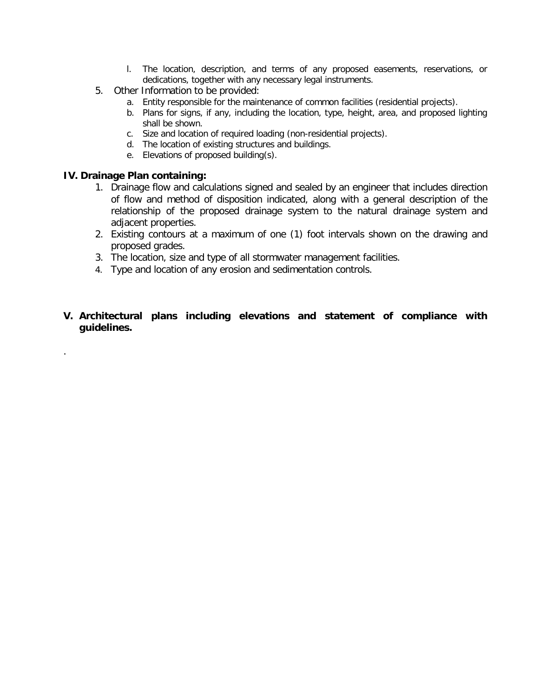- l. The location, description, and terms of any proposed easements, reservations, or dedications, together with any necessary legal instruments.
- 5. Other Information to be provided:
	- a. Entity responsible for the maintenance of common facilities (residential projects).
	- b. Plans for signs, if any, including the location, type, height, area, and proposed lighting shall be shown.
	- c. Size and location of required loading (non-residential projects).
	- d. The location of existing structures and buildings.
	- e. Elevations of proposed building(s).

### **IV. Drainage Plan containing:**

.

- 1. Drainage flow and calculations signed and sealed by an engineer that includes direction of flow and method of disposition indicated, along with a general description of the relationship of the proposed drainage system to the natural drainage system and adjacent properties.
- 2. Existing contours at a maximum of one (1) foot intervals shown on the drawing and proposed grades.
- 3. The location, size and type of all stormwater management facilities.
- 4. Type and location of any erosion and sedimentation controls.
- **V. Architectural plans including elevations and statement of compliance with guidelines.**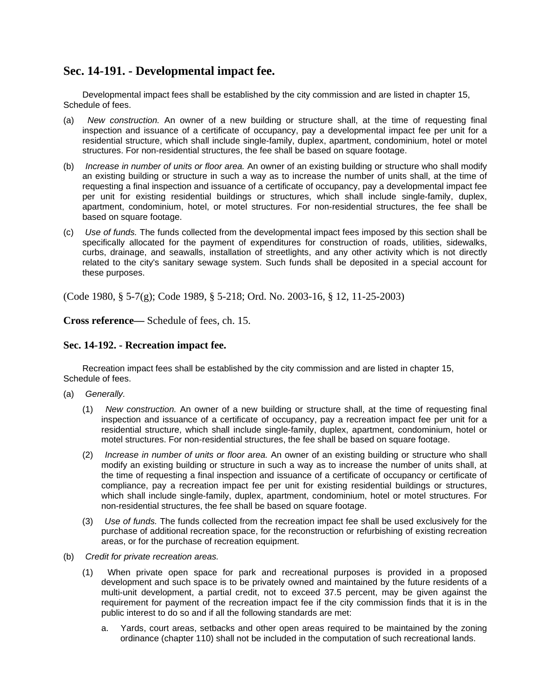### **Sec. 14-191. - Developmental impact fee.**

Developmental impact fees shall be established by the city commission and are listed in chapter 15, Schedule of fees.

- (a) *New construction.* An owner of a new building or structure shall, at the time of requesting final inspection and issuance of a certificate of occupancy, pay a developmental impact fee per unit for a residential structure, which shall include single-family, duplex, apartment, condominium, hotel or motel structures. For non-residential structures, the fee shall be based on square footage.
- (b) *Increase in number of units or floor area.* An owner of an existing building or structure who shall modify an existing building or structure in such a way as to increase the number of units shall, at the time of requesting a final inspection and issuance of a certificate of occupancy, pay a developmental impact fee per unit for existing residential buildings or structures, which shall include single-family, duplex, apartment, condominium, hotel, or motel structures. For non-residential structures, the fee shall be based on square footage.
- (c) *Use of funds.* The funds collected from the developmental impact fees imposed by this section shall be specifically allocated for the payment of expenditures for construction of roads, utilities, sidewalks, curbs, drainage, and seawalls, installation of streetlights, and any other activity which is not directly related to the city's sanitary sewage system. Such funds shall be deposited in a special account for these purposes.

(Code 1980, § 5-7(g); Code 1989, § 5-218; Ord. No. 2003-16, § 12, 11-25-2003)

**Cross reference—** Schedule of fees, ch. 15.

### **Sec. 14-192. - Recreation impact fee.**

Recreation impact fees shall be established by the city commission and are listed in chapter 15, Schedule of fees.

- (a) *Generally.*
	- (1) *New construction.* An owner of a new building or structure shall, at the time of requesting final inspection and issuance of a certificate of occupancy, pay a recreation impact fee per unit for a residential structure, which shall include single-family, duplex, apartment, condominium, hotel or motel structures. For non-residential structures, the fee shall be based on square footage.
	- (2) *Increase in number of units or floor area.* An owner of an existing building or structure who shall modify an existing building or structure in such a way as to increase the number of units shall, at the time of requesting a final inspection and issuance of a certificate of occupancy or certificate of compliance, pay a recreation impact fee per unit for existing residential buildings or structures, which shall include single-family, duplex, apartment, condominium, hotel or motel structures. For non-residential structures, the fee shall be based on square footage.
	- (3) *Use of funds.* The funds collected from the recreation impact fee shall be used exclusively for the purchase of additional recreation space, for the reconstruction or refurbishing of existing recreation areas, or for the purchase of recreation equipment.
- (b) *Credit for private recreation areas.*
	- (1) When private open space for park and recreational purposes is provided in a proposed development and such space is to be privately owned and maintained by the future residents of a multi-unit development, a partial credit, not to exceed 37.5 percent, may be given against the requirement for payment of the recreation impact fee if the city commission finds that it is in the public interest to do so and if all the following standards are met:
		- a. Yards, court areas, setbacks and other open areas required to be maintained by the zoning ordinance (chapter 110) shall not be included in the computation of such recreational lands.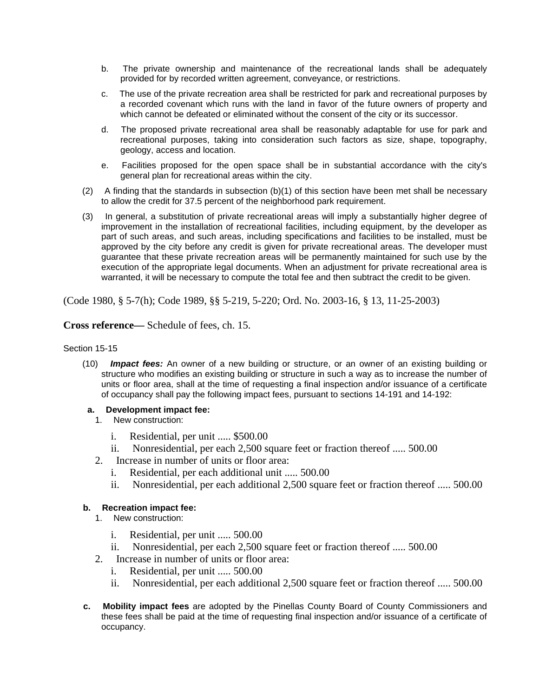- b. The private ownership and maintenance of the recreational lands shall be adequately provided for by recorded written agreement, conveyance, or restrictions.
- c. The use of the private recreation area shall be restricted for park and recreational purposes by a recorded covenant which runs with the land in favor of the future owners of property and which cannot be defeated or eliminated without the consent of the city or its successor.
- d. The proposed private recreational area shall be reasonably adaptable for use for park and recreational purposes, taking into consideration such factors as size, shape, topography, geology, access and location.
- e. Facilities proposed for the open space shall be in substantial accordance with the city's general plan for recreational areas within the city.
- (2) A finding that the standards in subsection (b)(1) of this section have been met shall be necessary to allow the credit for 37.5 percent of the neighborhood park requirement.
- (3) In general, a substitution of private recreational areas will imply a substantially higher degree of improvement in the installation of recreational facilities, including equipment, by the developer as part of such areas, and such areas, including specifications and facilities to be installed, must be approved by the city before any credit is given for private recreational areas. The developer must guarantee that these private recreation areas will be permanently maintained for such use by the execution of the appropriate legal documents. When an adjustment for private recreational area is warranted, it will be necessary to compute the total fee and then subtract the credit to be given.

(Code 1980, § 5-7(h); Code 1989, §§ 5-219, 5-220; Ord. No. 2003-16, § 13, 11-25-2003)

**Cross reference—** Schedule of fees, ch. 15.

### Section 15-15

(10) *Impact fees:* An owner of a new building or structure, or an owner of an existing building or structure who modifies an existing building or structure in such a way as to increase the number of units or floor area, shall at the time of requesting a final inspection and/or issuance of a certificate of occupancy shall pay the following impact fees, pursuant to sections 14-191 and 14-192:

### **a. Development impact fee:**

- 1. New construction:
	- i. Residential, per unit ..... \$500.00
	- ii. Nonresidential, per each 2,500 square feet or fraction thereof ..... 500.00
- 2. Increase in number of units or floor area:
	- i. Residential, per each additional unit ..... 500.00
	- ii. Nonresidential, per each additional 2,500 square feet or fraction thereof ..... 500.00

### **b. Recreation impact fee:**

- 1. New construction:
	- i. Residential, per unit ..... 500.00
	- ii. Nonresidential, per each 2,500 square feet or fraction thereof ..... 500.00
- 2. Increase in number of units or floor area:
	- i. Residential, per unit ..... 500.00
	- ii. Nonresidential, per each additional 2,500 square feet or fraction thereof ..... 500.00
- **c. Mobility impact fees** are adopted by the Pinellas County Board of County Commissioners and these fees shall be paid at the time of requesting final inspection and/or issuance of a certificate of occupancy.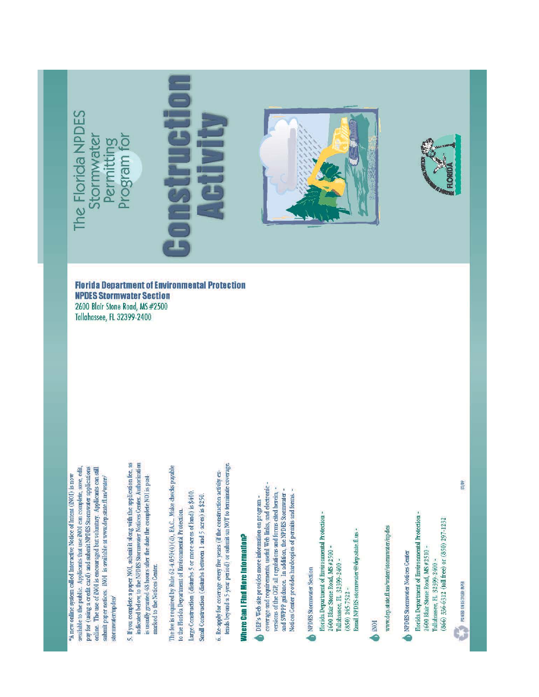pay for (using a credit card) and submit NPDES Stormwater applications available to the public. Applicants that use INO1 can complete, save, edit, online. The use of INOI is encouraged but voluntary. Applicants can still \*A new online system called Interactive Notice of Intent (INOI) is now submit paper notices. INO1 is available at www.dep.state.fl.us/water/ stormwater/modes/ 5. If you complete a paper NOI, submit it along with the application fee, as indicated below, to the NPDES Stormwater Notices Center. Authorization is usually granted 48 hours after the date the complete NOI is postmarked to the Notices Center. The fee is required by Rule 62-4.050(4)(d), EA.C.. Make checks payable to the Florida Department of Environmental Protection.

Large Construction (disturbs 5 or more acres of land) is \$400.

Small Construction (disturbs between 1 and 5 acres) is \$250.

tends beyond a 5-year period) or submit an NOT to terminate coverage. 6. Re-apply for coverage every five years (if the construction activity ex-

# Where Can I Find More Information?

coverage and requirements, useful Web links, and electronic. versions of the CGP, all regulations and forms cited herein. and SWPPP guidance. In addition, the NPDES Stormwater -Notices Center provides hardcopies of permits and forms. -DEP's Web site provides more information on program -

NPDES Stormwater Section

Florida Department of Environmental Protection -Email NPDES stormwater@dep.state.fl.us -2600 Blair Stone Road, MS #2500 -Tallahassee, FL 32399-2400 - $(850) 245 - 7522 -$ 

**ON** 

www.dep.state.fl.us/water/stormwater/npdes

NPDES Stormwater Notices Center

Florida Department of Environmental Protection -(866) 336-6312 (toll free) or (850) 297-1232 2600 Blair Stone Road, MS #2510 -Tallahassee, FL 32399-2400 -

**EXAMPLE ON BECKLED BASE** 

 $08/09$ 

**Florida Department of Environmental Protection NPDES Stormwater Section** 2600 Blair Stone Road, MS #2500 Tallahassee, FL 32399-2400